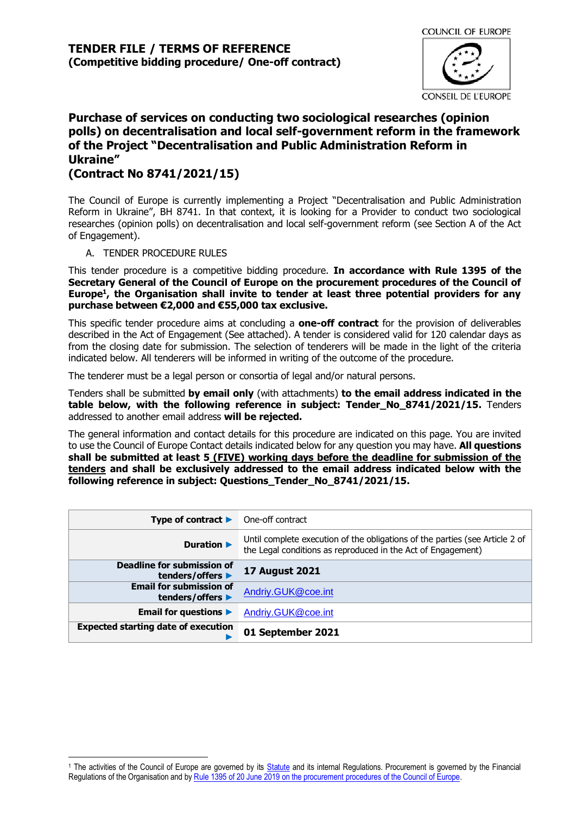

# **Purchase of services on conducting two sociological researches (opinion polls) on decentralisation and local self-government reform in the framework of the Project "Decentralisation and Public Administration Reform in Ukraine"**

## **(Contract No 8741/2021/15)**

The Council of Europe is currently implementing a Project "Decentralisation and Public Administration Reform in Ukraine", BH 8741. In that context, it is looking for a Provider to conduct two sociological researches (opinion polls) on decentralisation and local self-government reform (see Section A of the Act of Engagement).

#### A. TENDER PROCEDURE RULES

This tender procedure is a competitive bidding procedure. **In accordance with Rule 1395 of the Secretary General of the Council of Europe on the procurement procedures of the Council of Europe<sup>1</sup> , the Organisation shall invite to tender at least three potential providers for any purchase between €2,000 and €55,000 tax exclusive.**

This specific tender procedure aims at concluding a **one-off contract** for the provision of deliverables described in the Act of Engagement (See attached). A tender is considered valid for 120 calendar days as from the closing date for submission. The selection of tenderers will be made in the light of the criteria indicated below. All tenderers will be informed in writing of the outcome of the procedure.

The tenderer must be a legal person or consortia of legal and/or natural persons.

Tenders shall be submitted **by email only** (with attachments) **to the email address indicated in the table below, with the following reference in subject: Tender\_No\_8741/2021/15.** Tenders addressed to another email address **will be rejected.**

The general information and contact details for this procedure are indicated on this page. You are invited to use the Council of Europe Contact details indicated below for any question you may have. **All questions shall be submitted at least 5 (FIVE) working days before the deadline for submission of the tenders and shall be exclusively addressed to the email address indicated below with the following reference in subject: Questions\_Tender\_No\_8741/2021/15.**

| Type of contract $\blacktriangleright$             | One-off contract                                                                                                                             |
|----------------------------------------------------|----------------------------------------------------------------------------------------------------------------------------------------------|
| Duration $\blacktriangleright$                     | Until complete execution of the obligations of the parties (see Article 2 of<br>the Legal conditions as reproduced in the Act of Engagement) |
| Deadline for submission of<br>tenders/offers ▶     | <b>17 August 2021</b>                                                                                                                        |
| <b>Email for submission of</b><br>tenders/offers ▶ | Andriy.GUK@coe.int                                                                                                                           |
| Email for questions $\blacktriangleright$          | Andriy.GUK@coe.int                                                                                                                           |
| <b>Expected starting date of execution</b>         | 01 September 2021                                                                                                                            |

<sup>&</sup>lt;sup>1</sup> The activities of the Council of Europe are governed by its [Statute](https://rm.coe.int/CoERMPublicCommonSearchServices/DisplayDCTMContent?documentId=0900001680306052) and its internal Regulations. Procurement is governed by the Financial Regulations of the Organisation and by Rule 1395 of 20 June 2019 [on the procurement procedures of the Council of Europe.](https://search.coe.int/intranet/Pages/result_details.aspx?ObjectId=090000168094853e)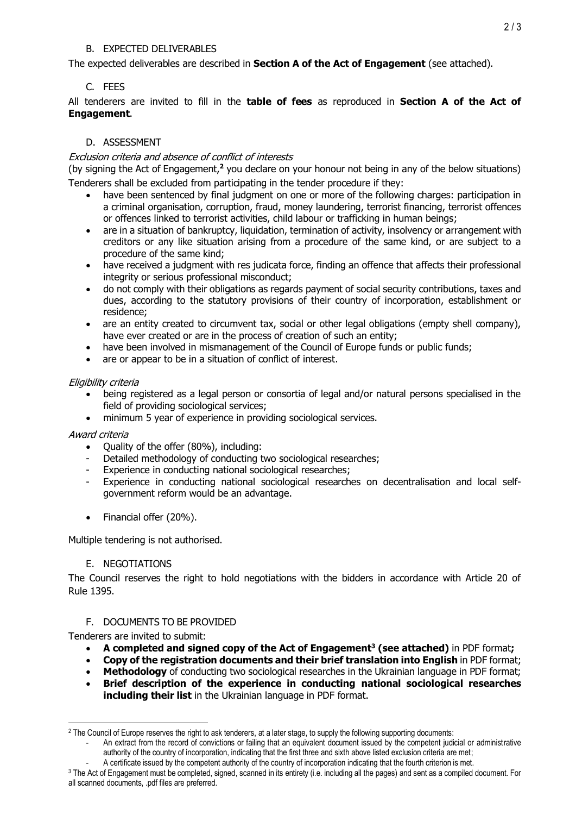#### B. EXPECTED DELIVERABLES

The expected deliverables are described in **Section A of the Act of Engagement** (see attached).

## C. FEES

All tenderers are invited to fill in the **table of fees** as reproduced in **Section A of the Act of Engagement**.

## D. ASSESSMENT

#### Exclusion criteria and absence of conflict of interests

(by signing the Act of Engagement,**<sup>2</sup>** you declare on your honour not being in any of the below situations) Tenderers shall be excluded from participating in the tender procedure if they:

- have been sentenced by final judgment on one or more of the following charges: participation in a criminal organisation, corruption, fraud, money laundering, terrorist financing, terrorist offences or offences linked to terrorist activities, child labour or trafficking in human beings;
- are in a situation of bankruptcy, liquidation, termination of activity, insolvency or arrangement with creditors or any like situation arising from a procedure of the same kind, or are subject to a procedure of the same kind;
- have received a judgment with res judicata force, finding an offence that affects their professional integrity or serious professional misconduct;
- do not comply with their obligations as regards payment of social security contributions, taxes and dues, according to the statutory provisions of their country of incorporation, establishment or residence;
- are an entity created to circumvent tax, social or other legal obligations (empty shell company), have ever created or are in the process of creation of such an entity;
- have been involved in mismanagement of the Council of Europe funds or public funds;
- are or appear to be in a situation of conflict of interest.

## Eligibility criteria

- being registered as a legal person or consortia of legal and/or natural persons specialised in the field of providing sociological services;
- minimum 5 year of experience in providing sociological services.

## Award criteria

- Quality of the offer (80%), including:
- Detailed methodology of conducting two sociological researches;
- Experience in conducting national sociological researches;
- Experience in conducting national sociological researches on decentralisation and local selfgovernment reform would be an advantage.
- Financial offer (20%).

Multiple tendering is not authorised.

#### E. NEGOTIATIONS

The Council reserves the right to hold negotiations with the bidders in accordance with Article 20 of Rule 1395.

## F. DOCUMENTS TO BE PROVIDED

Tenderers are invited to submit:

- **A completed and signed copy of the Act of Engagement<sup>3</sup> (see attached)** in PDF format**;**
- **Copy of the registration documents and their brief translation into English** in PDF format;
- **Methodology** of conducting two sociological researches in the Ukrainian language in PDF format;
- **Brief description of the experience in conducting national sociological researches including their list** in the Ukrainian language in PDF format.

<sup>&</sup>lt;sup>2</sup> The Council of Europe reserves the right to ask tenderers, at a later stage, to supply the following supporting documents:

<sup>-</sup> An extract from the record of convictions or failing that an equivalent document issued by the competent judicial or administrative authority of the country of incorporation, indicating that the first three and sixth above listed exclusion criteria are met;

<sup>-</sup> A certificate issued by the competent authority of the country of incorporation indicating that the fourth criterion is met.

<sup>3</sup> The Act of Engagement must be completed, signed, scanned in its entirety (i.e. including all the pages) and sent as a compiled document. For all scanned documents, .pdf files are preferred.